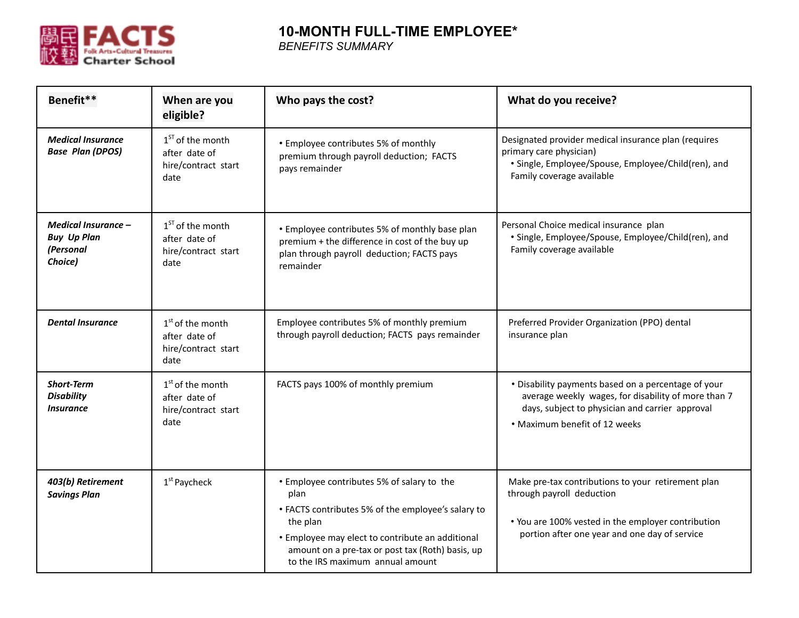

## **10-MONTH FULL-TIME EMPLOYEE\***

*BENEFITS SUMMARY*

| Benefit**                                                         | When are you<br>eligible?                                          | Who pays the cost?                                                                                                                                                                                                                                               | What do you receive?                                                                                                                                                                           |
|-------------------------------------------------------------------|--------------------------------------------------------------------|------------------------------------------------------------------------------------------------------------------------------------------------------------------------------------------------------------------------------------------------------------------|------------------------------------------------------------------------------------------------------------------------------------------------------------------------------------------------|
| <b>Medical Insurance</b><br><b>Base Plan (DPOS)</b>               | $1ST$ of the month<br>after date of<br>hire/contract start<br>date | • Employee contributes 5% of monthly<br>premium through payroll deduction; FACTS<br>pays remainder                                                                                                                                                               | Designated provider medical insurance plan (requires<br>primary care physician)<br>· Single, Employee/Spouse, Employee/Child(ren), and<br>Family coverage available                            |
| Medical Insurance -<br><b>Buy Up Plan</b><br>(Personal<br>Choice) | $1ST$ of the month<br>after date of<br>hire/contract start<br>date | • Employee contributes 5% of monthly base plan<br>premium + the difference in cost of the buy up<br>plan through payroll deduction; FACTS pays<br>remainder                                                                                                      | Personal Choice medical insurance plan<br>• Single, Employee/Spouse, Employee/Child(ren), and<br>Family coverage available                                                                     |
| <b>Dental Insurance</b>                                           | $1st$ of the month<br>after date of<br>hire/contract start<br>date | Employee contributes 5% of monthly premium<br>through payroll deduction; FACTS pays remainder                                                                                                                                                                    | Preferred Provider Organization (PPO) dental<br>insurance plan                                                                                                                                 |
| <b>Short-Term</b><br><b>Disability</b><br><i><b>Insurance</b></i> | $1st$ of the month<br>after date of<br>hire/contract start<br>date | FACTS pays 100% of monthly premium                                                                                                                                                                                                                               | . Disability payments based on a percentage of your<br>average weekly wages, for disability of more than 7<br>days, subject to physician and carrier approval<br>• Maximum benefit of 12 weeks |
| 403(b) Retirement<br><b>Savings Plan</b>                          | 1 <sup>st</sup> Paycheck                                           | • Employee contributes 5% of salary to the<br>plan<br>• FACTS contributes 5% of the employee's salary to<br>the plan<br>• Employee may elect to contribute an additional<br>amount on a pre-tax or post tax (Roth) basis, up<br>to the IRS maximum annual amount | Make pre-tax contributions to your retirement plan<br>through payroll deduction<br>• You are 100% vested in the employer contribution<br>portion after one year and one day of service         |